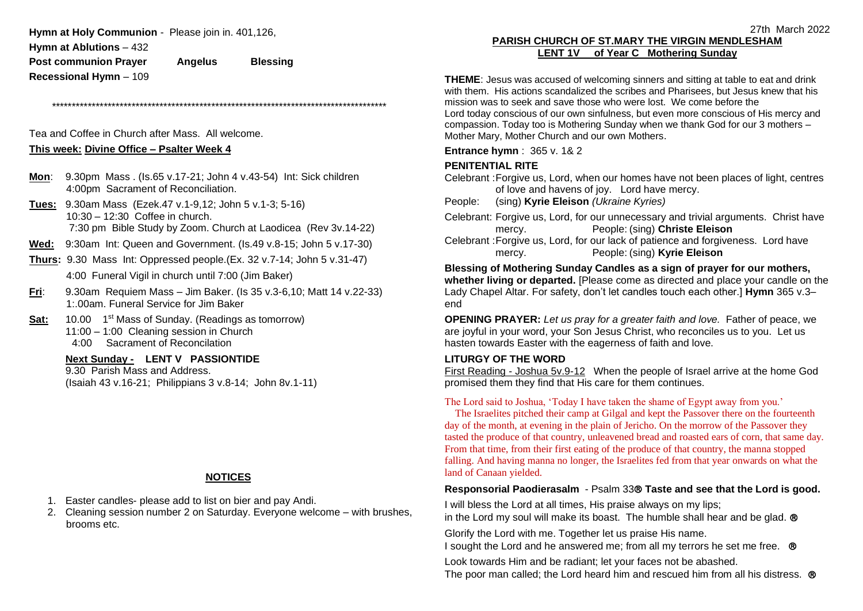**Hymn at Holy Communion** - Please join in. 401,126,

**Hymn at Ablutions** – 432

**Post communion Prayer Angelus Blessing Recessional Hymn** – 109

\*\*\*\*\*\*\*\*\*\*\*\*\*\*\*\*\*\*\*\*\*\*\*\*\*\*\*\*\*\*\*\*\*\*\*\*\*\*\*\*\*\*\*\*\*\*\*\*\*\*\*\*\*\*\*\*\*\*\*\*\*\*\*\*\*\*\*\*\*\*\*\*\*\*\*\*\*\*\*\*\*\*\*\*

Tea and Coffee in Church after Mass. All welcome.

### **This week: Divine Office – Psalter Week 4**

- **Mon**: 9.30pm Mass . (Is.65 v.17-21; John 4 v.43-54) Int: Sick children 4:00pm Sacrament of Reconciliation.
- **Tues:** 9.30am Mass (Ezek.47 v.1-9,12; John 5 v.1-3; 5-16) 10:30 – 12:30 Coffee in church. 7:30 pm Bible Study by Zoom. Church at Laodicea (Rev 3v.14-22)
- **Wed:** 9:30am Int: Queen and Government. (Is.49 v.8-15; John 5 v.17-30)
- **Thurs:** 9.30 Mass Int: Oppressed people.(Ex. 32 v.7-14; John 5 v.31-47) 4:00 Funeral Vigil in church until 7:00 (Jim Baker)
- **Fri**: 9.30am Requiem Mass Jim Baker. (Is 35 v.3-6,10; Matt 14 v.22-33) 1:.00am. Funeral Service for Jim Baker
- Sat: 10.00 1<sup>st</sup> Mass of Sunday. (Readings as tomorrow) 11:00 – 1:00 Cleaning session in Church 4:00 Sacrament of Reconcilation

**Next Sunday - LENT V PASSIONTIDE**

9.30 Parish Mass and Address. (Isaiah 43 v.16-21; Philippians 3 v.8-14; John 8v.1-11)

### **NOTICES**

- 1. Easter candles- please add to list on bier and pay Andi.
- 2. Cleaning session number 2 on Saturday. Everyone welcome with brushes, brooms etc.

# **PARISH CHURCH OF ST.MARY THE VIRGIN MENDLESHAM LENT 1V of Year C Mothering Sunday**

**THEME**: Jesus was accused of welcoming sinners and sitting at table to eat and drink with them. His actions scandalized the scribes and Pharisees, but Jesus knew that his mission was to seek and save those who were lost. We come before the Lord today conscious of our own sinfulness, but even more conscious of His mercy and compassion. Today too is Mothering Sunday when we thank God for our 3 mothers – Mother Mary, Mother Church and our own Mothers.

**Entrance hymn** : 365 v. 1& 2

# **PENITENTIAL RITE**

Celebrant :Forgive us, Lord, when our homes have not been places of light, centres of love and havens of joy. Lord have mercy.

People: (sing) **Kyrie Eleison** *(Ukraine Kyries)*

Celebrant: Forgive us, Lord, for our unnecessary and trivial arguments. Christ have mercy. People: (sing) **Christe Eleison** Celebrant :Forgive us, Lord, for our lack of patience and forgiveness. Lord have mercy. People: (sing) **Kyrie Eleison**

### **Blessing of Mothering Sunday Candles as a sign of prayer for our mothers, whether living or departed.** [Please come as directed and place your candle on the Lady Chapel Altar. For safety, don't let candles touch each other.] **Hymn** 365 v.3– end

**OPENING PRAYER:** *Let us pray for a greater faith and love.* Father of peace, we are joyful in your word, your Son Jesus Christ, who reconciles us to you. Let us hasten towards Easter with the eagerness of faith and love.

### **LITURGY OF THE WORD**

First Reading - Joshua 5v.9-12 When the people of Israel arrive at the home God promised them they find that His care for them continues.

#### The Lord said to Joshua, 'Today I have taken the shame of Egypt away from you.'

 The Israelites pitched their camp at Gilgal and kept the Passover there on the fourteenth day of the month, at evening in the plain of Jericho. On the morrow of the Passover they tasted the produce of that country, unleavened bread and roasted ears of corn, that same day. From that time, from their first eating of the produce of that country, the manna stopped falling. And having manna no longer, the Israelites fed from that year onwards on what the land of Canaan yielded.

### **Responsorial Paodierasalm** - Psalm 33 **Taste and see that the Lord is good.**

I will bless the Lord at all times, His praise always on my lips; in the Lord my soul will make its boast. The humble shall hear and be glad.  $\odot$ 

Glorify the Lord with me. Together let us praise His name.

I sought the Lord and he answered me; from all my terrors he set me free.  $\circledR$ 

Look towards Him and be radiant; let your faces not be abashed.

The poor man called; the Lord heard him and rescued him from all his distress.